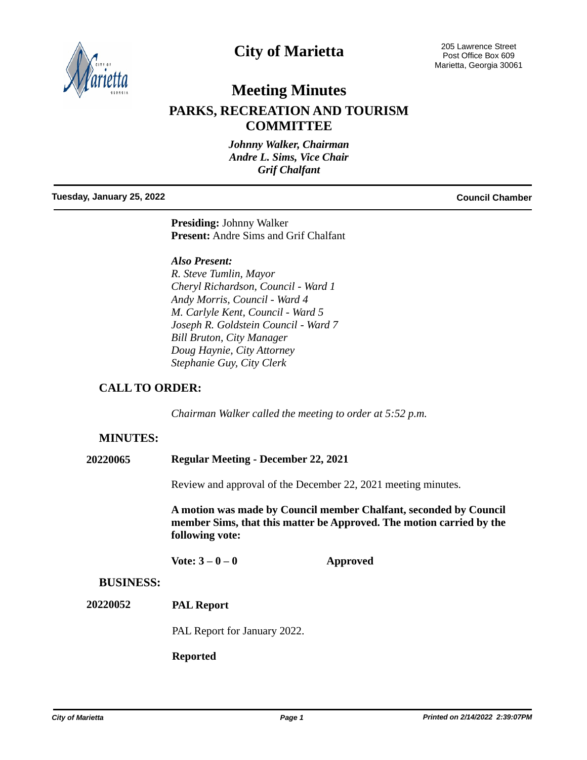

# **City of Marietta**

205 Lawrence Street Post Office Box 609 Marietta, Georgia 30061

## **Meeting Minutes**

## **PARKS, RECREATION AND TOURISM COMMITTEE**

*Johnny Walker, Chairman Andre L. Sims, Vice Chair Grif Chalfant*

#### **Tuesday, January 25, 2022 Council Chamber**

**Presiding:** Johnny Walker **Present:** Andre Sims and Grif Chalfant

*Also Present:*

*R. Steve Tumlin, Mayor Cheryl Richardson, Council - Ward 1 Andy Morris, Council - Ward 4 M. Carlyle Kent, Council - Ward 5 Joseph R. Goldstein Council - Ward 7 Bill Bruton, City Manager Doug Haynie, City Attorney Stephanie Guy, City Clerk*

## **CALL TO ORDER:**

*Chairman Walker called the meeting to order at 5:52 p.m.*

### **MINUTES:**

| <b>Regular Meeting - December 22, 2021</b><br>20220065 |  |
|--------------------------------------------------------|--|
|--------------------------------------------------------|--|

Review and approval of the December 22, 2021 meeting minutes.

**A motion was made by Council member Chalfant, seconded by Council member Sims, that this matter be Approved. The motion carried by the following vote:**

**Vote: 3 – 0 – 0 Approved**

### **BUSINESS:**

**PAL Report 20220052**

PAL Report for January 2022.

**Reported**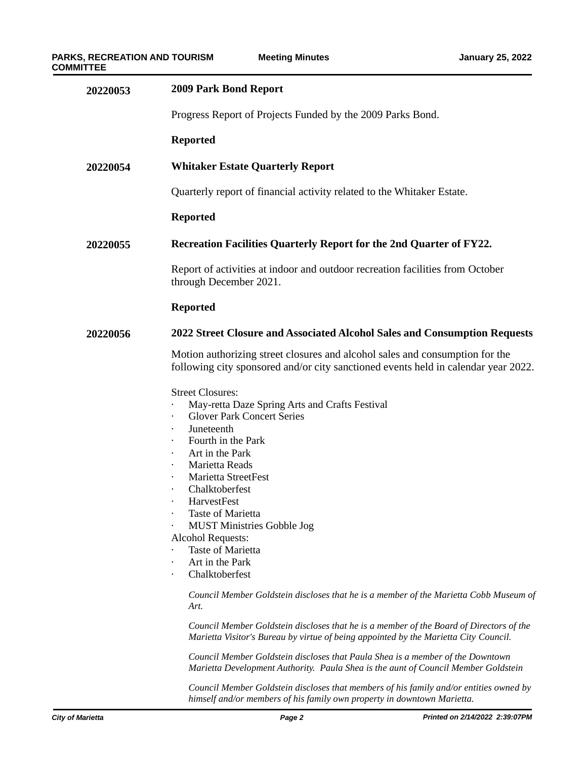| 20220053 | <b>2009 Park Bond Report</b>                                                                                                                                                                                                                                                                                                                                                                                                                                                                                                                                                                                                                                                                                                                                                                                                                                                                                    |  |  |
|----------|-----------------------------------------------------------------------------------------------------------------------------------------------------------------------------------------------------------------------------------------------------------------------------------------------------------------------------------------------------------------------------------------------------------------------------------------------------------------------------------------------------------------------------------------------------------------------------------------------------------------------------------------------------------------------------------------------------------------------------------------------------------------------------------------------------------------------------------------------------------------------------------------------------------------|--|--|
|          | Progress Report of Projects Funded by the 2009 Parks Bond.                                                                                                                                                                                                                                                                                                                                                                                                                                                                                                                                                                                                                                                                                                                                                                                                                                                      |  |  |
|          | <b>Reported</b>                                                                                                                                                                                                                                                                                                                                                                                                                                                                                                                                                                                                                                                                                                                                                                                                                                                                                                 |  |  |
| 20220054 | <b>Whitaker Estate Quarterly Report</b>                                                                                                                                                                                                                                                                                                                                                                                                                                                                                                                                                                                                                                                                                                                                                                                                                                                                         |  |  |
|          | Quarterly report of financial activity related to the Whitaker Estate.                                                                                                                                                                                                                                                                                                                                                                                                                                                                                                                                                                                                                                                                                                                                                                                                                                          |  |  |
|          | <b>Reported</b>                                                                                                                                                                                                                                                                                                                                                                                                                                                                                                                                                                                                                                                                                                                                                                                                                                                                                                 |  |  |
| 20220055 | Recreation Facilities Quarterly Report for the 2nd Quarter of FY22.                                                                                                                                                                                                                                                                                                                                                                                                                                                                                                                                                                                                                                                                                                                                                                                                                                             |  |  |
|          | Report of activities at indoor and outdoor recreation facilities from October<br>through December 2021.                                                                                                                                                                                                                                                                                                                                                                                                                                                                                                                                                                                                                                                                                                                                                                                                         |  |  |
|          | <b>Reported</b>                                                                                                                                                                                                                                                                                                                                                                                                                                                                                                                                                                                                                                                                                                                                                                                                                                                                                                 |  |  |
| 20220056 | 2022 Street Closure and Associated Alcohol Sales and Consumption Requests                                                                                                                                                                                                                                                                                                                                                                                                                                                                                                                                                                                                                                                                                                                                                                                                                                       |  |  |
|          | Motion authorizing street closures and alcohol sales and consumption for the<br>following city sponsored and/or city sanctioned events held in calendar year 2022.                                                                                                                                                                                                                                                                                                                                                                                                                                                                                                                                                                                                                                                                                                                                              |  |  |
|          | <b>Street Closures:</b><br>May-retta Daze Spring Arts and Crafts Festival<br><b>Glover Park Concert Series</b><br>Juneteenth<br>Fourth in the Park<br>Art in the Park<br>$\bullet$<br>Marietta Reads<br>$\bullet$<br>Marietta StreetFest<br>Chalktoberfest<br>HarvestFest<br>Taste of Marietta<br><b>MUST Ministries Gobble Jog</b><br><b>Alcohol Requests:</b><br>Taste of Marietta<br>Art in the Park<br>$\bullet$<br>Chalktoberfest<br>$\bullet$<br>Council Member Goldstein discloses that he is a member of the Marietta Cobb Museum of<br>Art.<br>Council Member Goldstein discloses that he is a member of the Board of Directors of the<br>Marietta Visitor's Bureau by virtue of being appointed by the Marietta City Council.<br>Council Member Goldstein discloses that Paula Shea is a member of the Downtown<br>Marietta Development Authority. Paula Shea is the aunt of Council Member Goldstein |  |  |

*Council Member Goldstein discloses that members of his family and/or entities owned by himself and/or members of his family own property in downtown Marietta.*